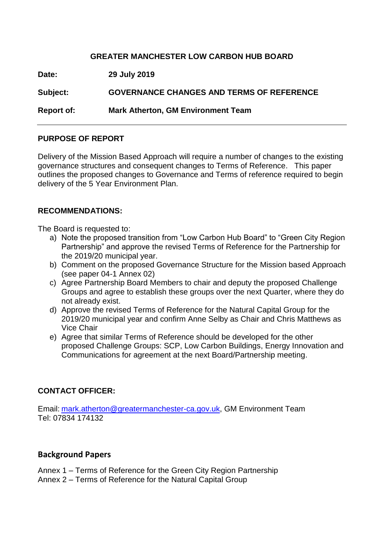# **GREATER MANCHESTER LOW CARBON HUB BOARD**

**Date: 29 July 2019 Subject: GOVERNANCE CHANGES AND TERMS OF REFERENCE Report of: Mark Atherton, GM Environment Team**

# **PURPOSE OF REPORT**

Delivery of the Mission Based Approach will require a number of changes to the existing governance structures and consequent changes to Terms of Reference. This paper outlines the proposed changes to Governance and Terms of reference required to begin delivery of the 5 Year Environment Plan.

# **RECOMMENDATIONS:**

The Board is requested to:

- a) Note the proposed transition from "Low Carbon Hub Board" to "Green City Region Partnership" and approve the revised Terms of Reference for the Partnership for the 2019/20 municipal year.
- b) Comment on the proposed Governance Structure for the Mission based Approach (see paper 04-1 Annex 02)
- c) Agree Partnership Board Members to chair and deputy the proposed Challenge Groups and agree to establish these groups over the next Quarter, where they do not already exist.
- d) Approve the revised Terms of Reference for the Natural Capital Group for the 2019/20 municipal year and confirm Anne Selby as Chair and Chris Matthews as Vice Chair
- e) Agree that similar Terms of Reference should be developed for the other proposed Challenge Groups: SCP, Low Carbon Buildings, Energy Innovation and Communications for agreement at the next Board/Partnership meeting.

# **CONTACT OFFICER:**

Email: [mark.atherton@greatermanchester-ca.gov.uk,](mailto:mark.atherton@greatermanchester-ca.gov.uk) GM Environment Team Tel: 07834 174132

# **Background Papers**

Annex 1 – Terms of Reference for the Green City Region Partnership

Annex 2 – Terms of Reference for the Natural Capital Group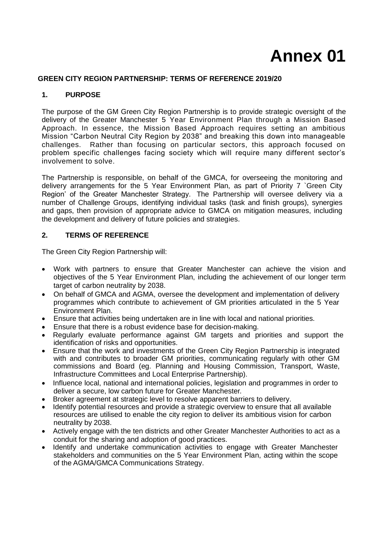# **Annex 01**

# **GREEN CITY REGION PARTNERSHIP: TERMS OF REFERENCE 2019/20**

# **1. PURPOSE**

The purpose of the GM Green City Region Partnership is to provide strategic oversight of the delivery of the Greater Manchester 5 Year Environment Plan through a Mission Based Approach. In essence, the Mission Based Approach requires setting an ambitious Mission "Carbon Neutral City Region by 2038" and breaking this down into manageable challenges. Rather than focusing on particular sectors, this approach focused on problem specific challenges facing society which will require many different sector's involvement to solve.

The Partnership is responsible, on behalf of the GMCA, for overseeing the monitoring and delivery arrangements for the 5 Year Environment Plan, as part of Priority 7 `Green City Region' of the Greater Manchester Strategy. The Partnership will oversee delivery via a number of Challenge Groups, identifying individual tasks (task and finish groups), synergies and gaps, then provision of appropriate advice to GMCA on mitigation measures, including the development and delivery of future policies and strategies.

# **2. TERMS OF REFERENCE**

The Green City Region Partnership will:

- Work with partners to ensure that Greater Manchester can achieve the vision and objectives of the 5 Year Environment Plan, including the achievement of our longer term target of carbon neutrality by 2038.
- On behalf of GMCA and AGMA, oversee the development and implementation of delivery programmes which contribute to achievement of GM priorities articulated in the 5 Year Environment Plan.
- Ensure that activities being undertaken are in line with local and national priorities.
- Ensure that there is a robust evidence base for decision-making.
- Regularly evaluate performance against GM targets and priorities and support the identification of risks and opportunities.
- Ensure that the work and investments of the Green City Region Partnership is integrated with and contributes to broader GM priorities, communicating regularly with other GM commissions and Board (eg. Planning and Housing Commission, Transport, Waste, Infrastructure Committees and Local Enterprise Partnership).
- Influence local, national and international policies, legislation and programmes in order to deliver a secure, low carbon future for Greater Manchester.
- Broker agreement at strategic level to resolve apparent barriers to delivery.
- Identify potential resources and provide a strategic overview to ensure that all available resources are utilised to enable the city region to deliver its ambitious vision for carbon neutrality by 2038.
- Actively engage with the ten districts and other Greater Manchester Authorities to act as a conduit for the sharing and adoption of good practices.
- Identify and undertake communication activities to engage with Greater Manchester stakeholders and communities on the 5 Year Environment Plan, acting within the scope of the AGMA/GMCA Communications Strategy.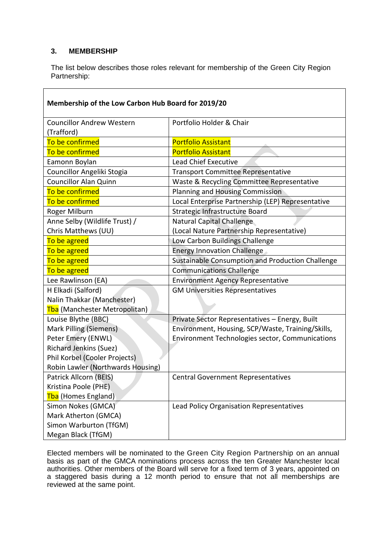# **3. MEMBERSHIP**

The list below describes those roles relevant for membership of the Green City Region Partnership:

| Membership of the Low Carbon Hub Board for 2019/20 |                                                   |  |
|----------------------------------------------------|---------------------------------------------------|--|
| <b>Councillor Andrew Western</b><br>(Trafford)     | Portfolio Holder & Chair                          |  |
| To be confirmed                                    | <b>Portfolio Assistant</b>                        |  |
| To be confirmed                                    | <b>Portfolio Assistant</b>                        |  |
| Eamonn Boylan                                      | <b>Lead Chief Executive</b>                       |  |
| Councillor Angeliki Stogia                         | <b>Transport Committee Representative</b>         |  |
| <b>Councillor Alan Quinn</b>                       | Waste & Recycling Committee Representative        |  |
| To be confirmed                                    | <b>Planning and Housing Commission</b>            |  |
| To be confirmed                                    | Local Enterprise Partnership (LEP) Representative |  |
| Roger Milburn                                      | Strategic Infrastructure Board                    |  |
| Anne Selby (Wildlife Trust) /                      | Natural Capital Challenge                         |  |
| Chris Matthews (UU)                                | (Local Nature Partnership Representative)         |  |
| To be agreed                                       | Low Carbon Buildings Challenge                    |  |
| To be agreed                                       | <b>Energy Innovation Challenge</b>                |  |
| To be agreed                                       | Sustainable Consumption and Production Challenge  |  |
| To be agreed                                       | <b>Communications Challenge</b>                   |  |
| Lee Rawlinson (EA)                                 | <b>Environment Agency Representative</b>          |  |
| H Elkadi (Salford)                                 | <b>GM Universities Representatives</b>            |  |
| Nalin Thakkar (Manchester)                         |                                                   |  |
| Tba (Manchester Metropolitan)                      |                                                   |  |
| Louise Blythe (BBC)                                | Private Sector Representatives - Energy, Built    |  |
| Mark Pilling (Siemens)                             | Environment, Housing, SCP/Waste, Training/Skills, |  |
| Peter Emery (ENWL)                                 | Environment Technologies sector, Communications   |  |
| <b>Richard Jenkins (Suez)</b>                      |                                                   |  |
| Phil Korbel (Cooler Projects)                      |                                                   |  |
| Robin Lawler (Northwards Housing)                  |                                                   |  |
| Patrick Allcorn (BEIS)                             | <b>Central Government Representatives</b>         |  |
| Kristina Poole (PHE)                               |                                                   |  |
| Tba (Homes England)                                |                                                   |  |
| Simon Nokes (GMCA)                                 | Lead Policy Organisation Representatives          |  |
| Mark Atherton (GMCA)                               |                                                   |  |
| Simon Warburton (TfGM)                             |                                                   |  |
| Megan Black (TfGM)                                 |                                                   |  |

Elected members will be nominated to the Green City Region Partnership on an annual basis as part of the GMCA nominations process across the ten Greater Manchester local authorities. Other members of the Board will serve for a fixed term of 3 years, appointed on a staggered basis during a 12 month period to ensure that not all memberships are reviewed at the same point.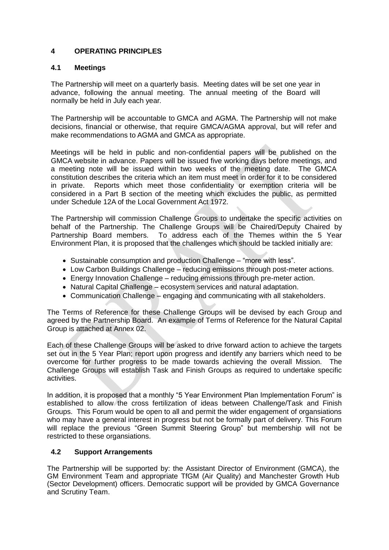# **4 OPERATING PRINCIPLES**

# **4.1 Meetings**

The Partnership will meet on a quarterly basis. Meeting dates will be set one year in advance, following the annual meeting. The annual meeting of the Board will normally be held in July each year.

The Partnership will be accountable to GMCA and AGMA. The Partnership will not make decisions, financial or otherwise, that require GMCA/AGMA approval, but will refer and make recommendations to AGMA and GMCA as appropriate.

Meetings will be held in public and non-confidential papers will be published on the GMCA website in advance. Papers will be issued five working days before meetings, and a meeting note will be issued within two weeks of the meeting date. The GMCA constitution describes the criteria which an item must meet in order for it to be considered in private. Reports which meet those confidentiality or exemption criteria will be considered in a Part B section of the meeting which excludes the public, as permitted under Schedule 12A of the Local Government Act 1972.

The Partnership will commission Challenge Groups to undertake the specific activities on behalf of the Partnership. The Challenge Groups will be Chaired/Deputy Chaired by Partnership Board members. To address each of the Themes within the 5 Year Environment Plan, it is proposed that the challenges which should be tackled initially are:

- Sustainable consumption and production Challenge "more with less".
- Low Carbon Buildings Challenge reducing emissions through post-meter actions.
- Energy Innovation Challenge reducing emissions through pre-meter action.
- Natural Capital Challenge ecosystem services and natural adaptation.
- Communication Challenge engaging and communicating with all stakeholders.

The Terms of Reference for these Challenge Groups will be devised by each Group and agreed by the Partnership Board. An example of Terms of Reference for the Natural Capital Group is attached at Annex 02.

Each of these Challenge Groups will be asked to drive forward action to achieve the targets set out in the 5 Year Plan; report upon progress and identify any barriers which need to be overcome for further progress to be made towards achieving the overall Mission. The Challenge Groups will establish Task and Finish Groups as required to undertake specific activities.

In addition, it is proposed that a monthly "5 Year Environment Plan Implementation Forum" is established to allow the cross fertilization of ideas between Challenge/Task and Finish Groups. This Forum would be open to all and permit the wider engagement of organsiations who may have a general interest in progress but not be formally part of delivery. This Forum will replace the previous "Green Summit Steering Group" but membership will not be restricted to these organsiations.

# **4.2 Support Arrangements**

The Partnership will be supported by: the Assistant Director of Environment (GMCA), the GM Environment Team and appropriate TfGM (Air Quality) and Manchester Growth Hub (Sector Development) officers. Democratic support will be provided by GMCA Governance and Scrutiny Team.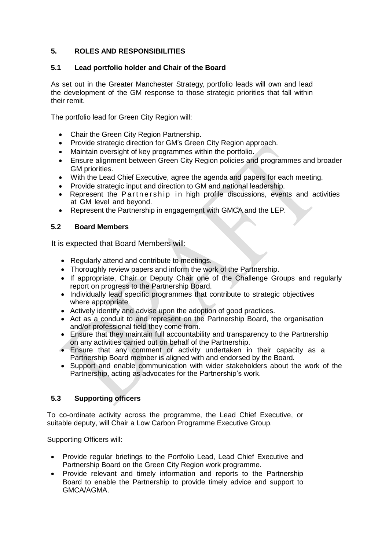# **5. ROLES AND RESPONSIBILITIES**

# **5.1 Lead portfolio holder and Chair of the Board**

As set out in the Greater Manchester Strategy, portfolio leads will own and lead the development of the GM response to those strategic priorities that fall within their remit.

The portfolio lead for Green City Region will:

- Chair the Green City Region Partnership.
- Provide strategic direction for GM's Green City Region approach.
- Maintain oversight of key programmes within the portfolio.
- Ensure alignment between Green City Region policies and programmes and broader GM priorities.
- With the Lead Chief Executive, agree the agenda and papers for each meeting.
- Provide strategic input and direction to GM and national leadership.
- Represent the Partnership in high profile discussions, events and activities at GM level and beyond.
- Represent the Partnership in engagement with GMCA and the LEP.

# **5.2 Board Members**

It is expected that Board Members will:

- Regularly attend and contribute to meetings.
- Thoroughly review papers and inform the work of the Partnership.
- If appropriate, Chair or Deputy Chair one of the Challenge Groups and regularly report on progress to the Partnership Board.
- Individually lead specific programmes that contribute to strategic objectives where appropriate.
- Actively identify and advise upon the adoption of good practices.
- Act as a conduit to and represent on the Partnership Board, the organisation and/or professional field they come from.
- Ensure that they maintain full accountability and transparency to the Partnership on any activities carried out on behalf of the Partnership.
- Ensure that any comment or activity undertaken in their capacity as a Partnership Board member is aligned with and endorsed by the Board.
- Support and enable communication with wider stakeholders about the work of the Partnership, acting as advocates for the Partnership's work.

# **5.3 Supporting officers**

To co-ordinate activity across the programme, the Lead Chief Executive, or suitable deputy, will Chair a Low Carbon Programme Executive Group.

Supporting Officers will:

- Provide regular briefings to the Portfolio Lead, Lead Chief Executive and Partnership Board on the Green City Region work programme.
- Provide relevant and timely information and reports to the Partnership Board to enable the Partnership to provide timely advice and support to GMCA/AGMA.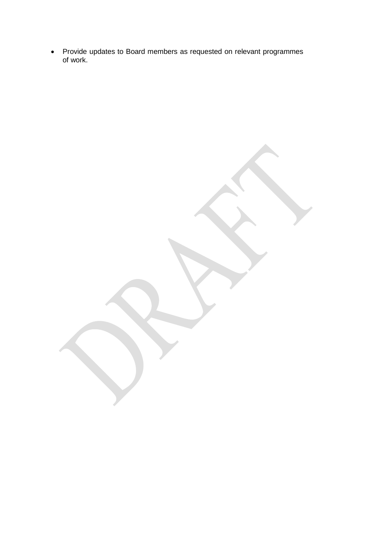Provide updates to Board members as requested on relevant programmes of work.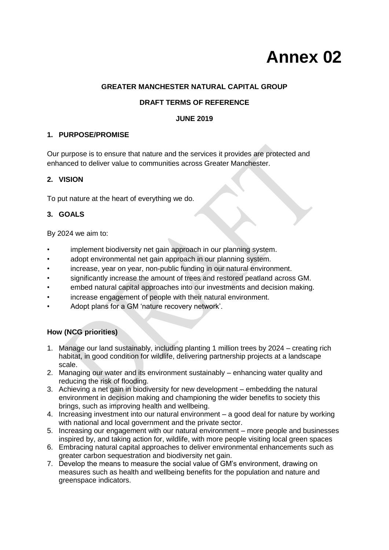# **Annex 02**

# **GREATER MANCHESTER NATURAL CAPITAL GROUP**

# **DRAFT TERMS OF REFERENCE**

# **JUNE 2019**

# **1. PURPOSE/PROMISE**

Our purpose is to ensure that nature and the services it provides are protected and enhanced to deliver value to communities across Greater Manchester.

# **2. VISION**

To put nature at the heart of everything we do.

# **3. GOALS**

By 2024 we aim to:

- implement biodiversity net gain approach in our planning system.
- adopt environmental net gain approach in our planning system.
- increase, year on year, non-public funding in our natural environment.
- significantly increase the amount of trees and restored peatland across GM.
- embed natural capital approaches into our investments and decision making.
- increase engagement of people with their natural environment.
- Adopt plans for a GM 'nature recovery network'.

# **How (NCG priorities)**

- 1. Manage our land sustainably, including planting 1 million trees by 2024 creating rich habitat, in good condition for wildlife, delivering partnership projects at a landscape scale.
- 2. Managing our water and its environment sustainably enhancing water quality and reducing the risk of flooding.
- 3. Achieving a net gain in biodiversity for new development embedding the natural environment in decision making and championing the wider benefits to society this brings, such as improving health and wellbeing.
- 4. Increasing investment into our natural environment a good deal for nature by working with national and local government and the private sector.
- 5. Increasing our engagement with our natural environment more people and businesses inspired by, and taking action for, wildlife, with more people visiting local green spaces
- 6. Embracing natural capital approaches to deliver environmental enhancements such as greater carbon sequestration and biodiversity net gain.
- 7. Develop the means to measure the social value of GM's environment, drawing on measures such as health and wellbeing benefits for the population and nature and greenspace indicators.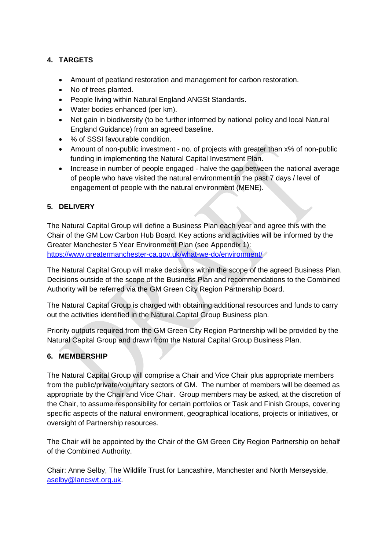# **4. TARGETS**

- Amount of peatland restoration and management for carbon restoration.
- No of trees planted.
- People living within Natural England ANGSt Standards.
- Water bodies enhanced (per km).
- Net gain in biodiversity (to be further informed by national policy and local Natural England Guidance) from an agreed baseline.
- % of SSSI favourable condition.
- Amount of non-public investment no. of projects with greater than x% of non-public funding in implementing the Natural Capital Investment Plan.
- Increase in number of people engaged halve the gap between the national average of people who have visited the natural environment in the past 7 days / level of engagement of people with the natural environment (MENE).

# **5. DELIVERY**

The Natural Capital Group will define a Business Plan each year and agree this with the Chair of the GM Low Carbon Hub Board. Key actions and activities will be informed by the Greater Manchester 5 Year Environment Plan (see Appendix 1): <https://www.greatermanchester-ca.gov.uk/what-we-do/environment/>

The Natural Capital Group will make decisions within the scope of the agreed Business Plan. Decisions outside of the scope of the Business Plan and recommendations to the Combined Authority will be referred via the GM Green City Region Partnership Board.

The Natural Capital Group is charged with obtaining additional resources and funds to carry out the activities identified in the Natural Capital Group Business plan.

Priority outputs required from the GM Green City Region Partnership will be provided by the Natural Capital Group and drawn from the Natural Capital Group Business Plan.

# **6. MEMBERSHIP**

The Natural Capital Group will comprise a Chair and Vice Chair plus appropriate members from the public/private/voluntary sectors of GM. The number of members will be deemed as appropriate by the Chair and Vice Chair. Group members may be asked, at the discretion of the Chair, to assume responsibility for certain portfolios or Task and Finish Groups, covering specific aspects of the natural environment, geographical locations, projects or initiatives, or oversight of Partnership resources.

The Chair will be appointed by the Chair of the GM Green City Region Partnership on behalf of the Combined Authority.

Chair: Anne Selby, The Wildlife Trust for Lancashire, Manchester and North Merseyside, [aselby@lancswt.org.uk.](mailto:aselby@lancswt.org.uk)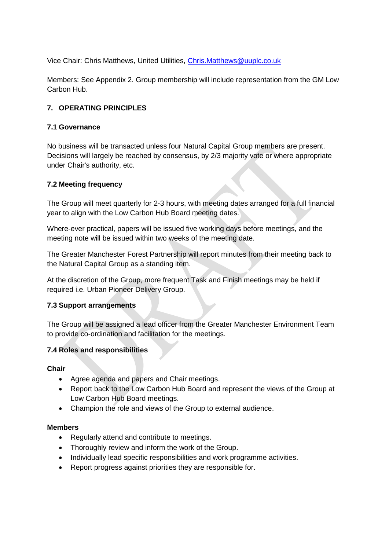Vice Chair: Chris Matthews, United Utilities, [Chris.Matthews@uuplc.co.uk](mailto:Chris.Matthews@uuplc.co.uk)

Members: See Appendix 2. Group membership will include representation from the GM Low Carbon Hub.

# **7. OPERATING PRINCIPLES**

# **7.1 Governance**

No business will be transacted unless four Natural Capital Group members are present. Decisions will largely be reached by consensus, by 2/3 majority vote or where appropriate under Chair's authority, etc.

# **7.2 Meeting frequency**

The Group will meet quarterly for 2-3 hours, with meeting dates arranged for a full financial year to align with the Low Carbon Hub Board meeting dates.

Where-ever practical, papers will be issued five working days before meetings, and the meeting note will be issued within two weeks of the meeting date.

The Greater Manchester Forest Partnership will report minutes from their meeting back to the Natural Capital Group as a standing item.

At the discretion of the Group, more frequent Task and Finish meetings may be held if required i.e. Urban Pioneer Delivery Group.

# **7.3 Support arrangements**

The Group will be assigned a lead officer from the Greater Manchester Environment Team to provide co-ordination and facilitation for the meetings.

# **7.4 Roles and responsibilities**

**Chair** 

- Agree agenda and papers and Chair meetings.
- Report back to the Low Carbon Hub Board and represent the views of the Group at Low Carbon Hub Board meetings.
- Champion the role and views of the Group to external audience.

# **Members**

- Regularly attend and contribute to meetings.
- Thoroughly review and inform the work of the Group.
- Individually lead specific responsibilities and work programme activities.
- Report progress against priorities they are responsible for.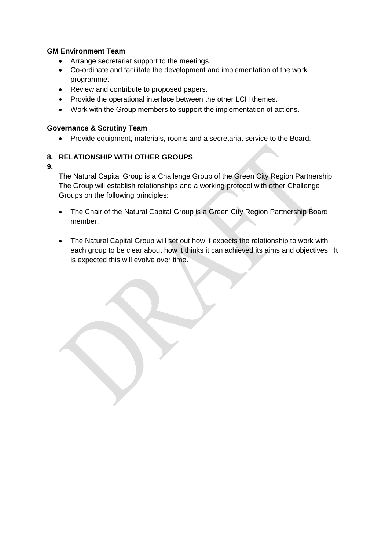# **GM Environment Team**

- Arrange secretariat support to the meetings.
- Co-ordinate and facilitate the development and implementation of the work programme.
- Review and contribute to proposed papers.
- Provide the operational interface between the other LCH themes.
- Work with the Group members to support the implementation of actions.

# **Governance & Scrutiny Team**

Provide equipment, materials, rooms and a secretariat service to the Board.

# **8. RELATIONSHIP WITH OTHER GROUPS**

**9.**

The Natural Capital Group is a Challenge Group of the Green City Region Partnership. The Group will establish relationships and a working protocol with other Challenge Groups on the following principles:

- The Chair of the Natural Capital Group is a Green City Region Partnership Board member.
- The Natural Capital Group will set out how it expects the relationship to work with each group to be clear about how it thinks it can achieved its aims and objectives. It is expected this will evolve over time.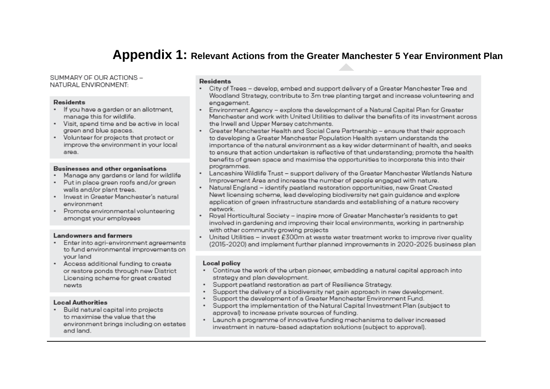# **Appendix 1: Relevant Actions from the Greater Manchester 5 Year Environment Plan**

SUMMARY OF OUR ACTIONS -NATURAL ENVIRONMENT:

#### **Residents**

- . If you have a garden or an allotment. manage this for wildlife.
- . Visit, spend time and be active in local green and blue spaces.
- . Volunteer for projects that protect or improve the environment in your local area.

#### Businesses and other organisations

- Manage any gardens or land for wildlife
- . Put in place green roofs and/or green walls and/or plant trees.
- . Invest in Greater Manchester's natural environment
- · Promote environmental volunteering amongst your employees

### **Landowners and farmers**

- · Enter into agri-environment agreements to fund environmental improvements on vour land
- Access additional funding to create or restore ponds through new District Licensing scheme for great crested newts

### **Local Authorities**

· Build natural capital into projects to maximise the value that the environment brings including on estates and land.

## **Residents**

- City of Trees develop, embed and support delivery of a Greater Manchester Tree and ٠ Woodland Strategy contribute to 3m tree planting target and increase volunteering and engagement.
- Environment Agency explore the development of a Natural Capital Plan for Greater Manchester and work with United Utilities to deliver the benefits of its investment across the Irwell and Upper Mersey catchments.
- Greater Manchester Health and Social Care Partnership ensure that their approach to developing a Greater Manchester Population Health system understands the importance of the natural environment as a key wider determinant of health, and seeks to ensure that action undertaken is reflective of that understanding: promote the health benefits of green space and maximise the opportunities to incorporate this into their programmes.
- Lancashire Wildlife Trust support delivery of the Greater Manchester Wetlands Nature Improvement Area and increase the number of people engaged with nature.
- Natural England identify peatland restoration opportunities, new Great Crested Newt licensing scheme, lead developing biodiversity net gain guidance and explore application of green infrastructure standards and establishing of a nature recovery network.
- Roval Horticultural Society inspire more of Greater Manchester's residents to get involved in gardening and improving their local environments, working in partnership with other community growing projects
- . United Utilities - invest £300m at waste water treatment works to improve river quality (2015-2020) and implement further planned improvements in 2020-2025 business plan

### Local policy

- . Continue the work of the urban pioneer, embedding a natural capital approach into strategy and plan development.
- . Support peatland restoration as part of Resilience Strategy.
- $\bullet$ Support the delivery of a biodiversity net gain approach in new development.
- $\ddot{\phantom{0}}$ Support the development of a Greater Manchester Environment Fund.
- . Support the implementation of the Natural Capital Investment Plan (subject to approval) to increase private sources of funding.
- Launch a programme of innovative funding mechanisms to deliver increased investment in nature-based adaptation solutions (subject to approval).